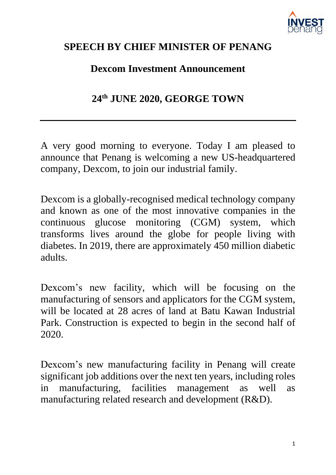

## **SPEECH BY CHIEF MINISTER OF PENANG**

## **Dexcom Investment Announcement**

**24th JUNE 2020, GEORGE TOWN**

A very good morning to everyone. Today I am pleased to announce that Penang is welcoming a new US-headquartered company, Dexcom, to join our industrial family.

Dexcom is a globally-recognised medical technology company and known as one of the most innovative companies in the continuous glucose monitoring (CGM) system, which transforms lives around the globe for people living with diabetes. In 2019, there are approximately 450 million diabetic adults.

Dexcom's new facility, which will be focusing on the manufacturing of sensors and applicators for the CGM system, will be located at 28 acres of land at Batu Kawan Industrial Park. Construction is expected to begin in the second half of 2020.

Dexcom's new manufacturing facility in Penang will create significant job additions over the next ten years, including roles in manufacturing, facilities management as well as manufacturing related research and development (R&D).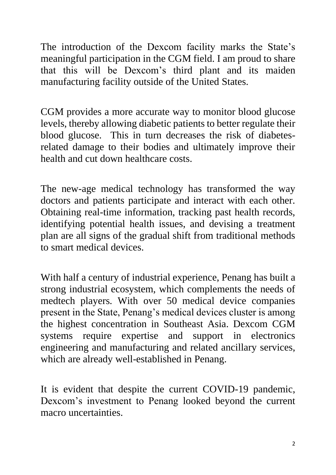The introduction of the Dexcom facility marks the State's meaningful participation in the CGM field. I am proud to share that this will be Dexcom's third plant and its maiden manufacturing facility outside of the United States.

CGM provides a more accurate way to monitor blood glucose levels, thereby allowing diabetic patients to better regulate their blood glucose. This in turn decreases the risk of diabetesrelated damage to their bodies and ultimately improve their health and cut down healthcare costs.

The new-age medical technology has transformed the way doctors and patients participate and interact with each other. Obtaining real-time information, tracking past health records, identifying potential health issues, and devising a treatment plan are all signs of the gradual shift from traditional methods to smart medical devices.

With half a century of industrial experience, Penang has built a strong industrial ecosystem, which complements the needs of medtech players. With over 50 medical device companies present in the State, Penang's medical devices cluster is among the highest concentration in Southeast Asia. Dexcom CGM systems require expertise and support in electronics engineering and manufacturing and related ancillary services, which are already well-established in Penang.

It is evident that despite the current COVID-19 pandemic, Dexcom's investment to Penang looked beyond the current macro uncertainties.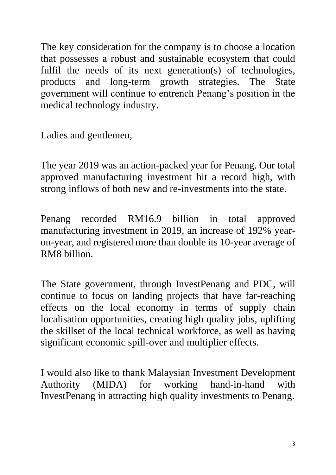The key consideration for the company is to choose a location that possesses a robust and sustainable ecosystem that could fulfil the needs of its next generation(s) of technologies, products and long-term growth strategies. The State government will continue to entrench Penang's position in the medical technology industry.

Ladies and gentlemen,

The year 2019 was an action-packed year for Penang. Our total approved manufacturing investment hit a record high, with strong inflows of both new and re-investments into the state.

Penang recorded RM16.9 billion in total approved manufacturing investment in 2019, an increase of 192% yearon-year, and registered more than double its 10-year average of RM8 billion.

The State government, through InvestPenang and PDC, will continue to focus on landing projects that have far-reaching effects on the local economy in terms of supply chain localisation opportunities, creating high quality jobs, uplifting the skillset of the local technical workforce, as well as having significant economic spill-over and multiplier effects.

I would also like to thank Malaysian Investment Development Authority (MIDA) for working hand-in-hand with InvestPenang in attracting high quality investments to Penang.